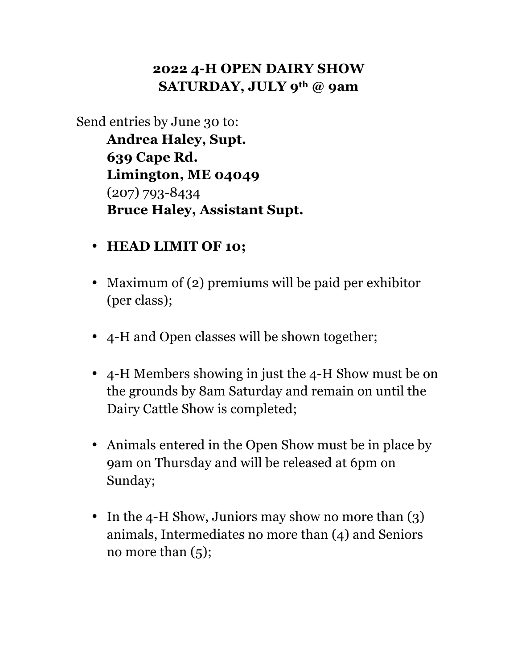### **2022 4-H OPEN DAIRY SHOW SATURDAY, JULY 9th @ 9am**

Send entries by June 30 to:

**Andrea Haley, Supt. 639 Cape Rd. Limington, ME 04049** (207) 793-8434 **Bruce Haley, Assistant Supt.**

- **HEAD LIMIT OF 10;**
- Maximum of (2) premiums will be paid per exhibitor (per class);
- 4-H and Open classes will be shown together;
- 4-H Members showing in just the 4-H Show must be on the grounds by 8am Saturday and remain on until the Dairy Cattle Show is completed;
- Animals entered in the Open Show must be in place by 9am on Thursday and will be released at 6pm on Sunday;
- In the 4-H Show, Juniors may show no more than (3) animals, Intermediates no more than (4) and Seniors no more than  $(5)$ ;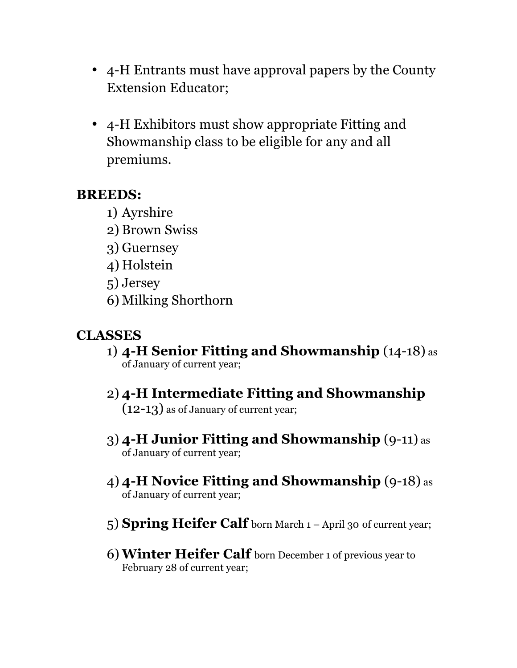- 4-H Entrants must have approval papers by the County Extension Educator;
- 4-H Exhibitors must show appropriate Fitting and Showmanship class to be eligible for any and all premiums.

#### **BREEDS:**

- 1) Ayrshire
- 2) Brown Swiss
- 3) Guernsey
- 4) Holstein
- 5) Jersey
- 6) Milking Shorthorn

# **CLASSES**

- 1) **4-H Senior Fitting and Showmanship** (14-18) as of January of current year;
- 2) **4-H Intermediate Fitting and Showmanship** (12-13) as of January of current year;
- 3) **4-H Junior Fitting and Showmanship** (9-11) as of January of current year;
- 4) **4-H Novice Fitting and Showmanship** (9-18) as of January of current year;
- 5) **Spring Heifer Calf** born March 1 April 30 of current year;
- 6) **Winter Heifer Calf** born December 1 of previous year to February 28 of current year;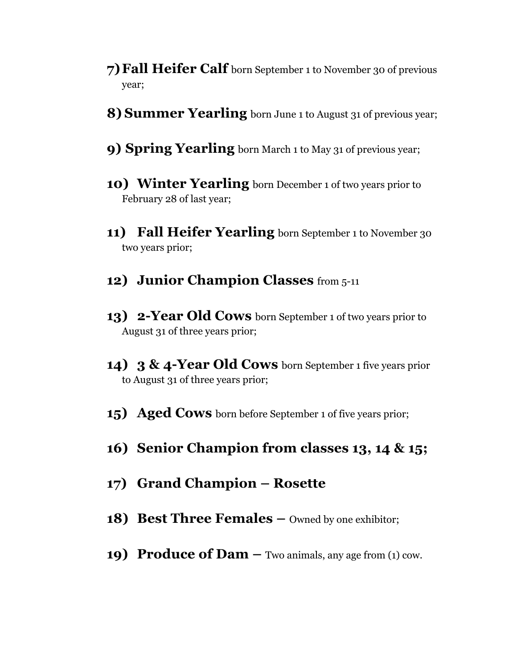- **7)Fall Heifer Calf** born September 1 to November 30 of previous year;
- **8) Summer Yearling** born June 1 to August 31 of previous year;
- **9) Spring Yearling** born March 1 to May 31 of previous year;
- **10) Winter Yearling** born December 1 of two years prior to February 28 of last year;
- **11) Fall Heifer Yearling** born September 1 to November 30 two years prior;
- **12) Junior Champion Classes** from 5-11
- **13) 2-Year Old Cows** born September 1 of two years prior to August 31 of three years prior;
- **14) 3 & 4-Year Old Cows** born September 1 five years prior to August 31 of three years prior;
- **15) Aged Cows** born before September 1 of five years prior;
- **16) Senior Champion from classes 13, 14 & 15;**
- **17) Grand Champion – Rosette**
- **18) Best Three Females** Owned by one exhibitor;
- **19) Produce of Dam –** Two animals, any age from (1) cow.